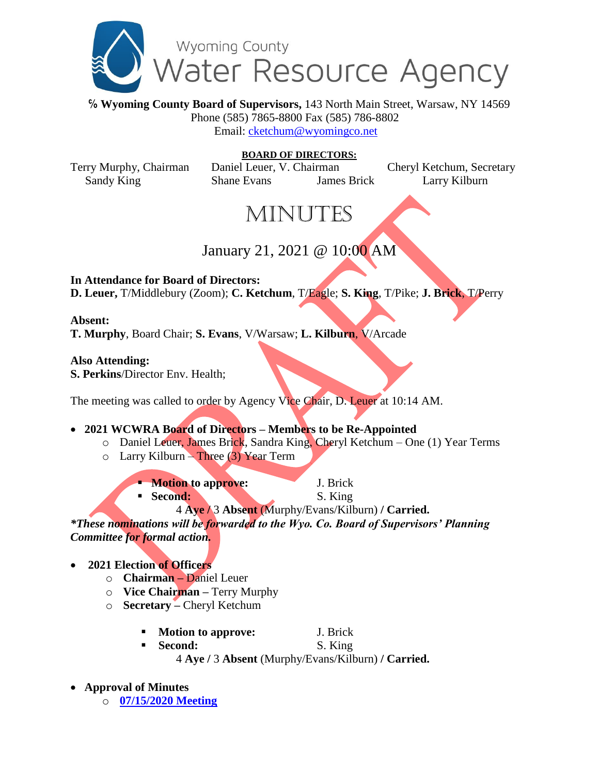

**℅ Wyoming County Board of Supervisors,** 143 North Main Street, Warsaw, NY 14569 Phone (585) 7865-8800 Fax (585) 786-8802 Email: [cketchum@wyomingco.net](mailto:cketchum@wyomingco.net)

**BOARD OF DIRECTORS:** Terry Murphy, Chairman Daniel Leuer, V. Chairman Cheryl Ketchum, Secretary Sandy King Shane Evans James Brick Larry Kilburn

# **MINUTES**

## January 21, 2021 @ 10:00 AM

**In Attendance for Board of Directors:**

**D. Leuer,** T/Middlebury (Zoom); **C. Ketchum**, T/Eagle; **S. King**, T/Pike; **J. Brick**, T/Perry

### **Absent:**

**T. Murphy**, Board Chair; **S. Evans**, V/Warsaw; **L. Kilburn**, V/Arcade

### **Also Attending:**

**S. Perkins**/Director Env. Health;

The meeting was called to order by Agency Vice Chair, D. Leuer at 10:14 AM.

### **2021 WCWRA Board of Directors – Members to be Re-Appointed**

- o Daniel Leuer, James Brick, Sandra King, Cheryl Ketchum One (1) Year Terms
- $\circ$  Larry Kilburn Three (3) Year Term
	- **Motion to approve:** J. Brick
		- **Second:** S. King
			- 4 **Aye /** 3 **Absent** (Murphy/Evans/Kilburn) **/ Carried.**

*\*These nominations will be forwarded to the Wyo. Co. Board of Supervisors' Planning Committee for formal action.*

- **2021 Election of Officers**
	- o **Chairman –** Daniel Leuer
	- o **Vice Chairman –** Terry Murphy
	- o **Secretary –** Cheryl Ketchum
		- **Motion to approve:** J. Brick
		- Second: S. King 4 **Aye /** 3 **Absent** (Murphy/Evans/Kilburn) **/ Carried.**
- **Approval of Minutes**

o **[07/15/2020 Meeting](https://www.wyomingco.net/AgendaCenter/ViewFile/Minutes/_07152020-596)**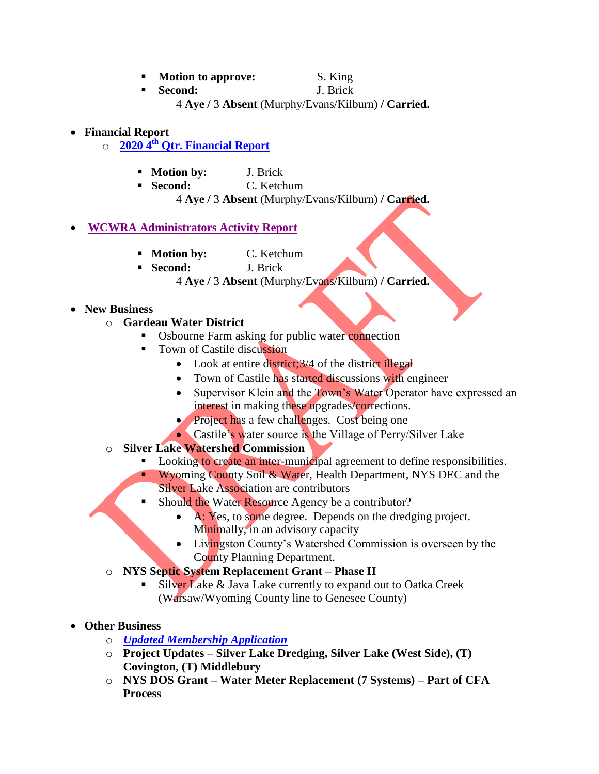- **Motion to approve:** S. King
- **Second:** J. Brick 4 **Aye /** 3 **Absent** (Murphy/Evans/Kilburn) **/ Carried.**
- **Financial Report** 
	- o **2020 4 th Qtr. [Financial Report](https://www.wyomingco.net/DocumentCenter/View/5840/2020---Jan-1st---Dec-31st-Financial-Report?bidId=)**
		- **Motion by:** J. Brick
		- **Second:** C. Ketchum

4 **Aye /** 3 **Absent** (Murphy/Evans/Kilburn) **/ Carried.**

#### **[WCWRA Administrators Activity Report](https://www.wyomingco.net/DocumentCenter/View/6129/A-WCWRA-Administrators-Activity-Report)**

- **Motion by:** C. Ketchum
- **Second:** J. Brick

4 **Aye /** 3 **Absent** (Murphy/Evans/Kilburn) **/ Carried.**

- **New Business**
	- o **Gardeau Water District**
		- Osbourne Farm asking for public water connection
		- Town of Castile discussion
			- Look at entire district; 3/4 of the district illegal
			- Town of Castile has started discussions with engineer
			- Supervisor Klein and the Town's Water Operator have expressed an interest in making these upgrades/corrections.
			- Project has a few challenges. Cost being one
			- Castile's water source is the Village of Perry/Silver Lake
	- o **Silver Lake Watershed Commission**
		- Looking to create an inter-municipal agreement to define responsibilities.

 Wyoming County Soil & Water, Health Department, NYS DEC and the **Silver Lake Association are contributors** 

- Should the Water Resource Agency be a contributor?
	- A: Yes, to some degree. Depends on the dredging project. Minimally, in an advisory capacity
	- Livingston County's Watershed Commission is overseen by the County Planning Department.
- o **NYS Septic System Replacement Grant – Phase II**
	- Silver Lake & Java Lake currently to expand out to Oatka Creek (Warsaw/Wyoming County line to Genesee County)
- **Other Business**
	- o *[Updated Membership Application](https://www.wyomingco.net/DocumentCenter/View/5841/2021-WCWRA-Membership-Application?bidId=)*
	- o **Project Updates – Silver Lake Dredging, Silver Lake (West Side), (T) Covington, (T) Middlebury**
	- o **NYS DOS Grant – Water Meter Replacement (7 Systems) – Part of CFA Process**